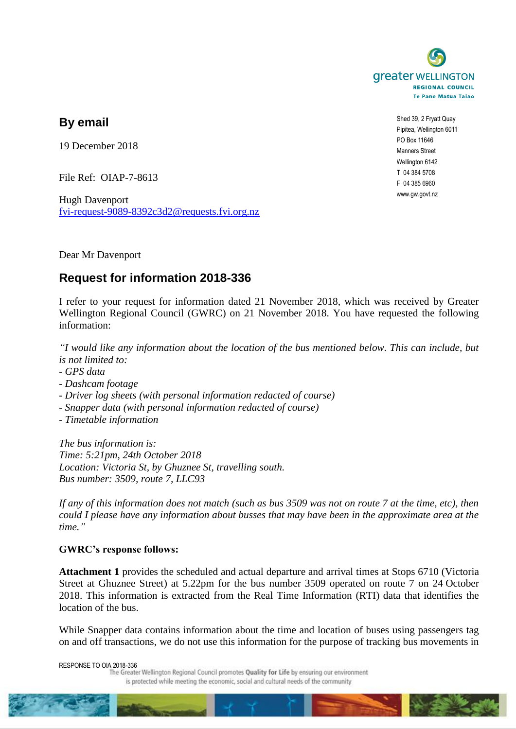

**By email**

19 December 2018

File Ref: OIAP-7-8613

Hugh Davenport fyi-request-9089-8392c3d2@requests.fyi.org.nz

Dear Mr Davenport

## **Request for information 2018-336**

I refer to your request for information dated 21 November 2018, which was received by Greater Wellington Regional Council (GWRC) on 21 November 2018. You have requested the following information:

*"I would like any information about the location of the bus mentioned below. This can include, but is not limited to:*

- *- GPS data*
- *- Dashcam footage*
- *- Driver log sheets (with personal information redacted of course)*
- *- Snapper data (with personal information redacted of course)*

*- Timetable information*

*The bus information is: Time: 5:21pm, 24th October 2018 Location: Victoria St, by Ghuznee St, travelling south. Bus number: 3509, route 7, LLC93*

*If any of this information does not match (such as bus 3509 was not on route 7 at the time, etc), then could I please have any information about busses that may have been in the approximate area at the time."*

## **GWRC's response follows:**

**Attachment 1** provides the scheduled and actual departure and arrival times at Stops 6710 (Victoria Street at Ghuznee Street) at 5.22pm for the bus number 3509 operated on route 7 on 24 October 2018. This information is extracted from the Real Time Information (RTI) data that identifies the location of the bus.

While Snapper data contains information about the time and location of buses using passengers tag on and off transactions, we do not use this information for the purpose of tracking bus movements in

RESPONSE TO OIA 2018-336<br>The Greater Wellington Regional Council promotes Quality for Life by ensuring our environment is protected while meeting the economic, social and cultural needs of the community



Shed 39, 2 Fryatt Quay Pipitea, Wellington 6011 PO Box 11646 Manners Street Wellington 6142 T 04 384 5708 F 04 385 6960 www.gw.govt.nz